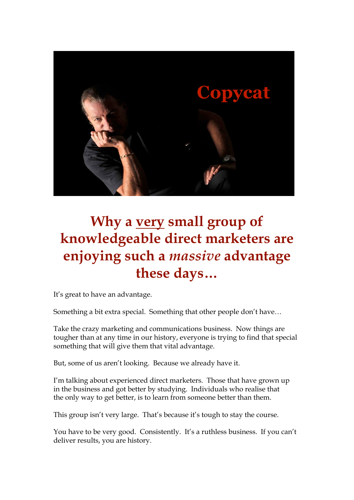

# **Why a very small group of knowledgeable direct marketers are enjoying such a** *massive* **advantage these days…**

It's great to have an advantage.

Something a bit extra special. Something that other people don't have…

Take the crazy marketing and communications business. Now things are tougher than at any time in our history, everyone is trying to find that special something that will give them that vital advantage.

But, some of us aren't looking. Because we already have it.

I'm talking about experienced direct marketers. Those that have grown up in the business and got better by studying. Individuals who realise that the only way to get better, is to learn from someone better than them.

This group isn't very large. That's because it's tough to stay the course.

You have to be very good. Consistently. It's a ruthless business. If you can't deliver results, you are history.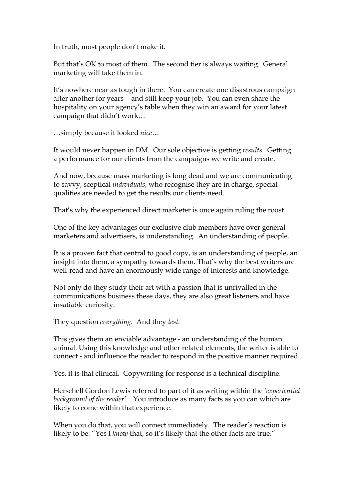In truth, most people don't make it.

But that's OK to most of them. The second tier is always waiting. General marketing will take them in.

It's nowhere near as tough in there. You can create one disastrous campaign after another for years - and still keep your job. You can even share the hospitality on your agency's table when they win an award for your latest campaign that didn't work…

…simply because it looked *nice*…

It would never happen in DM. Our sole objective is getting *results*. Getting a performance for our clients from the campaigns we write and create.

And now, because mass marketing is long dead and we are communicating to savvy, sceptical *individuals*, who recognise they are in charge, special qualities are needed to get the results our clients need.

That's why the experienced direct marketer is once again ruling the roost.

One of the key advantages our exclusive club members have over general marketers and advertisers, is understanding. An understanding of people.

It is a proven fact that central to good copy, is an understanding of people, an insight into them, a sympathy towards them. That's why the best writers are well-read and have an enormously wide range of interests and knowledge.

Not only do they study their art with a passion that is unrivalled in the communications business these days, they are also great listeners and have insatiable curiosity.

They question *everything.* And they *test.*

This gives them an enviable advantage - an understanding of the human animal. Using this knowledge and other related elements, the writer is able to connect - and influence the reader to respond in the positive manner required.

Yes, it is that clinical. Copywriting for response is a technical discipline.

Herschell Gordon Lewis referred to part of it as writing within the *'experiential background of the reader'.* You introduce as many facts as you can which are likely to come within that experience.

When you do that, you will connect immediately. The reader's reaction is likely to be: "Yes I *know* that, so it's likely that the other facts are true."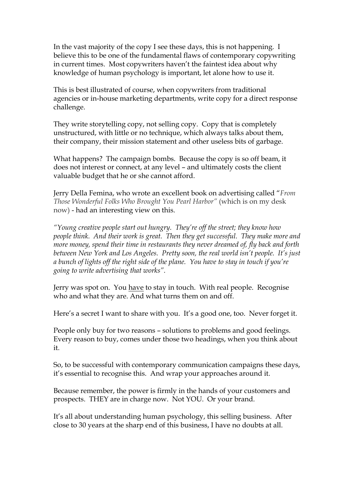In the vast majority of the copy I see these days, this is not happening. I believe this to be one of the fundamental flaws of contemporary copywriting in current times. Most copywriters haven't the faintest idea about why knowledge of human psychology is important, let alone how to use it.

This is best illustrated of course, when copywriters from traditional agencies or in-house marketing departments, write copy for a direct response challenge.

They write storytelling copy, not selling copy. Copy that is completely unstructured, with little or no technique, which always talks about them, their company, their mission statement and other useless bits of garbage.

What happens? The campaign bombs. Because the copy is so off beam, it does not interest or connect, at any level – and ultimately costs the client valuable budget that he or she cannot afford.

Jerry Della Femina, who wrote an excellent book on advertising called "*From Those Wonderful Folks Who Brought You Pearl Harbor"* (which is on my desk now) - had an interesting view on this.

*"Young creative people start out hungry. They're off the street; they know how people think. And their work is great. Then they get successful. They make more and more money, spend their time in restaurants they never dreamed of, fly back and forth between New York and Los Angeles. Pretty soon, the real world isn't people. It's just a bunch of lights off the right side of the plane. You have to stay in touch if you're going to write advertising that works".*

Jerry was spot on. You have to stay in touch. With real people. Recognise who and what they are. And what turns them on and off.

Here's a secret I want to share with you. It's a good one, too. Never forget it.

People only buy for two reasons – solutions to problems and good feelings. Every reason to buy, comes under those two headings, when you think about it.

So, to be successful with contemporary communication campaigns these days, it's essential to recognise this. And wrap your approaches around it.

Because remember, the power is firmly in the hands of your customers and prospects. THEY are in charge now. Not YOU. Or your brand.

It's all about understanding human psychology, this selling business. After close to 30 years at the sharp end of this business, I have no doubts at all.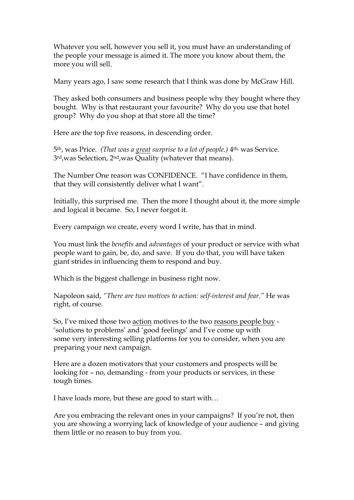Whatever you sell, however you sell it, you must have an understanding of the people your message is aimed it. The more you know about them, the more you will sell.

Many years ago, I saw some research that I think was done by McGraw Hill.

They asked both consumers and business people why they bought where they bought. Why is that restaurant your favourite? Why do you use that hotel group? Why do you shop at that store all the time?

Here are the top five reasons, in descending order.

5th, was Price. *(That was a great surprise to a lot of people.)* 4th, was Service. 3rd,was Selection, 2nd,was Quality (whatever that means).

The Number One reason was CONFIDENCE. "I have confidence in them, that they will consistently deliver what I want".

Initially, this surprised me. Then the more I thought about it, the more simple and logical it became. So, I never forgot it.

Every campaign we create, every word I write, has that in mind.

You must link the *benefits* and *advantages* of your product or service with what people want to gain, be, do, and save. If you do that, you will have taken giant strides in influencing them to respond and buy.

Which is the biggest challenge in business right now.

Napoleon said, *"There are two motives to action: self-interest and fear."* He was right, of course.

So, I've mixed those two action motives to the two reasons people buy - 'solutions to problems' and 'good feelings' and I've come up with some very interesting selling platforms for you to consider, when you are preparing your next campaign.

Here are a dozen motivators that your customers and prospects will be looking for – no, demanding - from your products or services, in these tough times.

I have loads more, but these are good to start with…

Are you embracing the relevant ones in your campaigns? If you're not, then you are showing a worrying lack of knowledge of your audience – and giving them little or no reason to buy from you.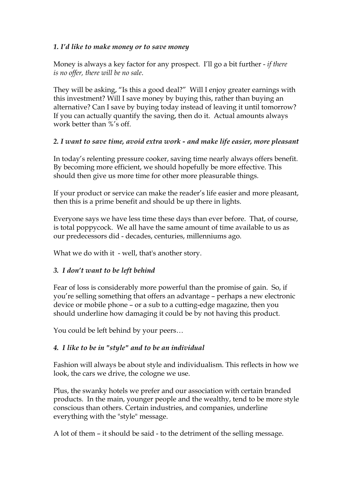#### *1. I'd like to make money or to save money*

Money is always a key factor for any prospect. I'll go a bit further - *if there is no offer, there will be no sale*.

They will be asking, "Is this a good deal?" Will I enjoy greater earnings with this investment? Will I save money by buying this, rather than buying an alternative? Can I save by buying today instead of leaving it until tomorrow? If you can actually quantify the saving, then do it. Actual amounts always work better than %'s off.

## *2. I want to save time, avoid extra work - and make life easier, more pleasant*

In today's relenting pressure cooker, saving time nearly always offers benefit. By becoming more efficient, we should hopefully be more effective. This should then give us more time for other more pleasurable things.

If your product or service can make the reader's life easier and more pleasant, then this is a prime benefit and should be up there in lights.

Everyone says we have less time these days than ever before. That, of course, is total poppycock. We all have the same amount of time available to us as our predecessors did - decades, centuries, millenniums ago.

What we do with it - well, that's another story.

## *3. I don't want to be left behind*

Fear of loss is considerably more powerful than the promise of gain. So, if you're selling something that offers an advantage – perhaps a new electronic device or mobile phone – or a sub to a cutting-edge magazine, then you should underline how damaging it could be by not having this product.

You could be left behind by your peers…

## *4. I like to be in "style" and to be an individual*

Fashion will always be about style and individualism. This reflects in how we look, the cars we drive, the cologne we use.

Plus, the swanky hotels we prefer and our association with certain branded products. In the main, younger people and the wealthy, tend to be more style conscious than others. Certain industries, and companies, underline everything with the "style" message.

A lot of them – it should be said - to the detriment of the selling message.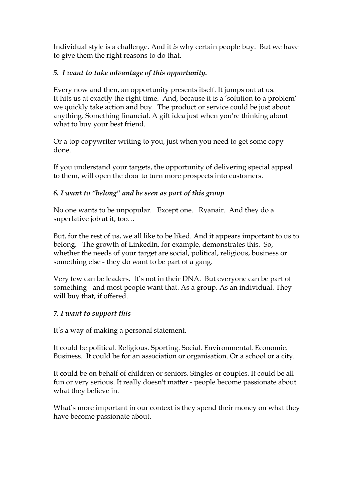Individual style is a challenge. And it *is* why certain people buy. But we have to give them the right reasons to do that.

## *5. I want to take advantage of this opportunity.*

Every now and then, an opportunity presents itself. It jumps out at us. It hits us at exactly the right time. And, because it is a 'solution to a problem' we quickly take action and buy. The product or service could be just about anything. Something financial. A gift idea just when you're thinking about what to buy your best friend.

Or a top copywriter writing to you, just when you need to get some copy done.

If you understand your targets, the opportunity of delivering special appeal to them, will open the door to turn more prospects into customers.

## *6. I want to "belong" and be seen as part of this group*

No one wants to be unpopular. Except one. Ryanair. And they do a superlative job at it, too…

But, for the rest of us, we all like to be liked. And it appears important to us to belong. The growth of LinkedIn, for example, demonstrates this. So, whether the needs of your target are social, political, religious, business or something else - they do want to be part of a gang.

Very few can be leaders. It's not in their DNA. But everyone can be part of something - and most people want that. As a group. As an individual. They will buy that, if offered.

## *7. I want to support this*

It's a way of making a personal statement.

It could be political. Religious. Sporting. Social. Environmental. Economic. Business. It could be for an association or organisation. Or a school or a city.

It could be on behalf of children or seniors. Singles or couples. It could be all fun or very serious. It really doesn't matter - people become passionate about what they believe in.

What's more important in our context is they spend their money on what they have become passionate about.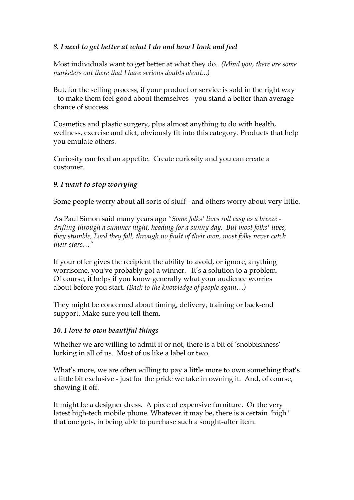## *8. I need to get better at what I do and how I look and feel*

Most individuals want to get better at what they do. *(Mind you, there are some marketers out there that I have serious doubts about...)*

But, for the selling process, if your product or service is sold in the right way - to make them feel good about themselves - you stand a better than average chance of success.

Cosmetics and plastic surgery, plus almost anything to do with health, wellness, exercise and diet, obviously fit into this category. Products that help you emulate others.

Curiosity can feed an appetite. Create curiosity and you can create a customer.

## *9. I want to stop worrying*

Some people worry about all sorts of stuff - and others worry about very little.

As Paul Simon said many years ago *"Some folks' lives roll easy as a breeze drifting through a summer night, heading for a sunny day. But most folks' lives, they stumble, Lord they fall, through no fault of their own, most folks never catch their stars…"*

If your offer gives the recipient the ability to avoid, or ignore, anything worrisome, you've probably got a winner. It's a solution to a problem. Of course, it helps if you know generally what your audience worries about before you start. *(Back to the knowledge of people again…)*

They might be concerned about timing, delivery, training or back-end support. Make sure you tell them.

#### *10. I love to own beautiful things*

Whether we are willing to admit it or not, there is a bit of 'snobbishness' lurking in all of us. Most of us like a label or two.

What's more, we are often willing to pay a little more to own something that's a little bit exclusive - just for the pride we take in owning it. And, of course, showing it off.

It might be a designer dress. A piece of expensive furniture. Or the very latest high-tech mobile phone. Whatever it may be, there is a certain "high" that one gets, in being able to purchase such a sought-after item.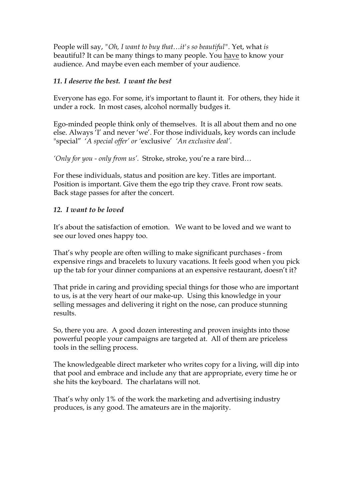People will say, *"Oh, I want to buy that…it's so beautiful".* Yet, what *is* beautiful? It can be many things to many people. You have to know your audience. And maybe even each member of your audience.

#### *11. I deserve the best. I want the best*

Everyone has ego. For some, it's important to flaunt it. For others, they hide it under a rock. In most cases, alcohol normally budges it.

Ego-minded people think only of themselves. It is all about them and no one else. Always 'I' and never 'we'. For those individuals, key words can include "special" '*A special offer' or '*exclusive' *'An exclusive deal'.* 

*'Only for you - only from us'.* Stroke, stroke, you're a rare bird…

For these individuals, status and position are key. Titles are important. Position is important. Give them the ego trip they crave. Front row seats. Back stage passes for after the concert.

#### *12. I want to be loved*

It's about the satisfaction of emotion. We want to be loved and we want to see our loved ones happy too.

That's why people are often willing to make significant purchases - from expensive rings and bracelets to luxury vacations. It feels good when you pick up the tab for your dinner companions at an expensive restaurant, doesn't it?

That pride in caring and providing special things for those who are important to us, is at the very heart of our make-up. Using this knowledge in your selling messages and delivering it right on the nose, can produce stunning results.

So, there you are. A good dozen interesting and proven insights into those powerful people your campaigns are targeted at. All of them are priceless tools in the selling process.

The knowledgeable direct marketer who writes copy for a living, will dip into that pool and embrace and include any that are appropriate, every time he or she hits the keyboard. The charlatans will not.

That's why only 1% of the work the marketing and advertising industry produces, is any good. The amateurs are in the majority.